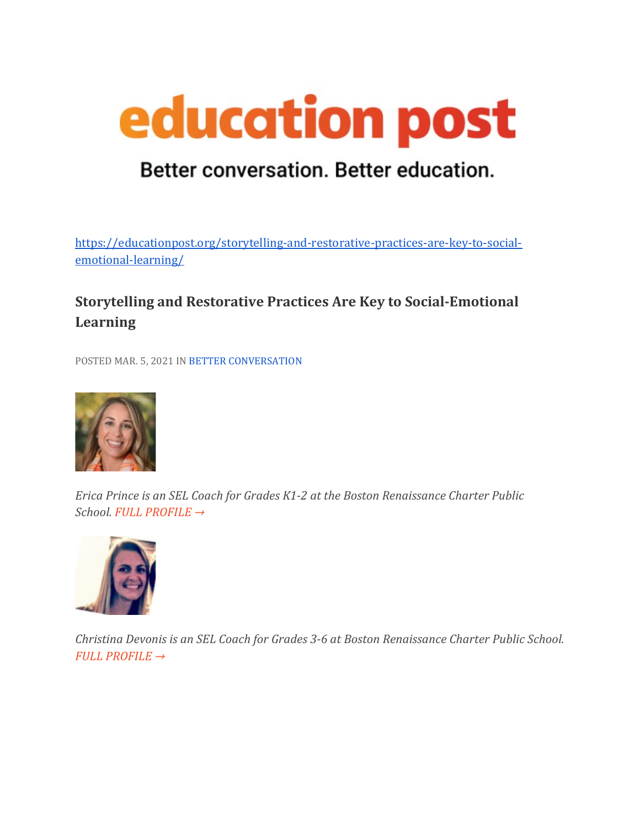

## Better conversation. Better education.

[https://educationpost.org/storytelling-and-restorative-practices-are-key-to-social](https://educationpost.org/storytelling-and-restorative-practices-are-key-to-social-emotional-learning/)[emotional-learning/](https://educationpost.org/storytelling-and-restorative-practices-are-key-to-social-emotional-learning/)

## **Storytelling and Restorative Practices Are Key to Social-Emotional Learning**

POSTED MAR. 5, 2021 IN [BETTER CONVERSATION](https://educationpost.org/conversation/blog/better-conversation/)



*Erica Prince is an SEL Coach for Grades K1-2 at the Boston Renaissance Charter Public School. [FULL PROFILE →](https://educationpost.org/network/erica-prince/)*



*Christina Devonis is an SEL Coach for Grades 3-6 at Boston Renaissance Charter Public School. [FULL PROFILE →](https://educationpost.org/network/christina-devonis/)*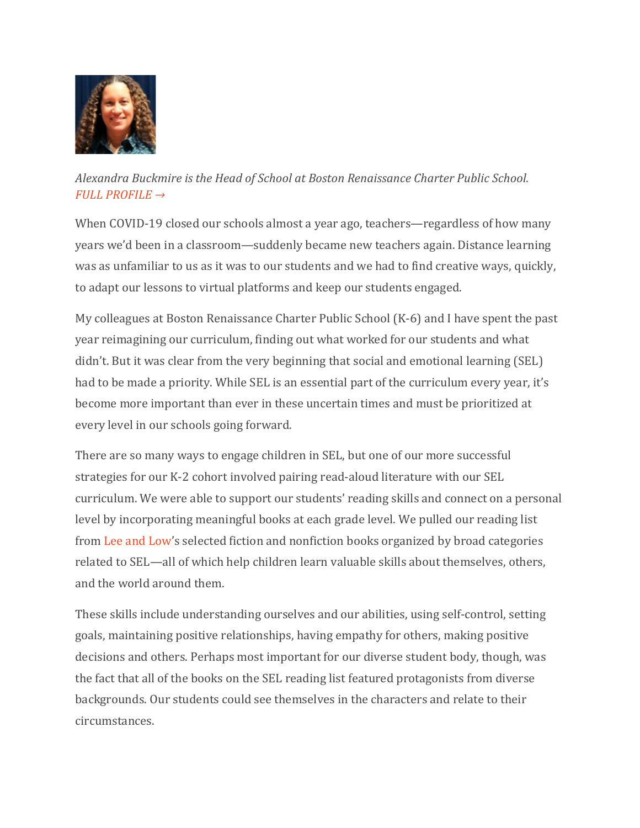

*Alexandra Buckmire is the Head of School at Boston Renaissance Charter Public School. [FULL PROFILE →](https://educationpost.org/network/alexandra-buckmire/)*

When COVID-19 closed our schools almost a year ago, teachers—regardless of how many years we'd been in a classroom—suddenly became new teachers again. Distance learning was as unfamiliar to us as it was to our students and we had to find creative ways, quickly, to adapt our lessons to virtual platforms and keep our students engaged.

My colleagues at Boston Renaissance Charter Public School (K-6) and I have spent the past year reimagining our curriculum, finding out what worked for our students and what didn't. But it was clear from the very beginning that social and emotional learning (SEL) had to be made a priority. While SEL is an essential part of the curriculum every year, it's become more important than ever in these uncertain times and must be prioritized at every level in our schools going forward.

There are so many ways to engage children in SEL, but one of our more successful strategies for our K-2 cohort involved pairing read-aloud literature with our SEL curriculum. We were able to support our students' reading skills and connect on a personal level by incorporating meaningful books at each grade level. We pulled our reading list from [Lee and Low's](https://www.leeandlow.com/) selected fiction and nonfiction books organized by broad categories related to SEL—all of which help children learn valuable skills about themselves, others, and the world around them.

These skills include understanding ourselves and our abilities, using self-control, setting goals, maintaining positive relationships, having empathy for others, making positive decisions and others. Perhaps most important for our diverse student body, though, was the fact that all of the books on the SEL reading list featured protagonists from diverse backgrounds. Our students could see themselves in the characters and relate to their circumstances.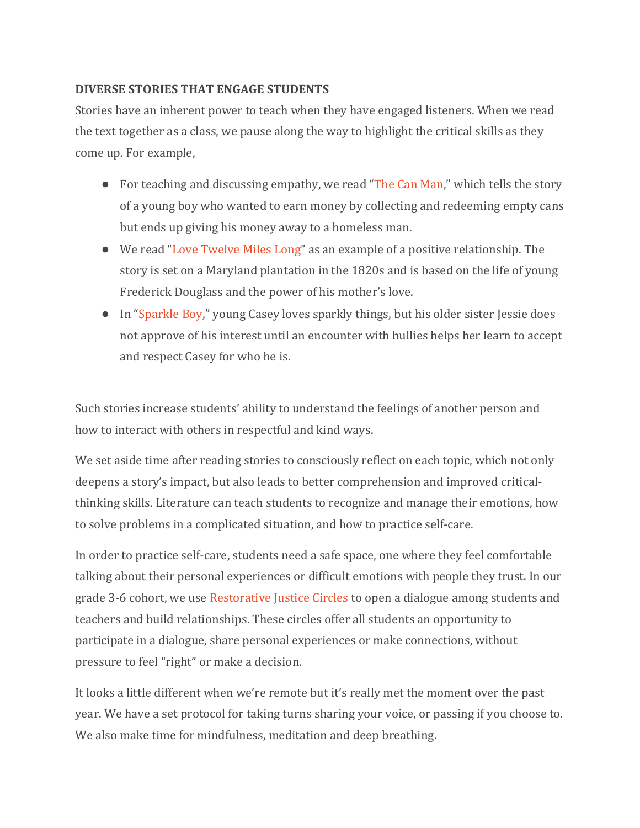## **DIVERSE STORIES THAT ENGAGE STUDENTS**

Stories have an inherent power to teach when they have engaged listeners. When we read the text together as a class, we pause along the way to highlight the critical skills as they come up. For example,

- For teaching and discussing empathy, we read ["The Can Man,](https://www.leeandlow.com/books/the-can-man)" which tells the story of a young boy who wanted to earn money by collecting and redeeming empty cans but ends up giving his money away to a homeless man.
- We read ["Love Twelve Miles Long"](https://www.leeandlow.com/books/love-twelve-miles-long) as an example of a positive relationship. The story is set on a Maryland plantation in the 1820s and is based on the life of young Frederick Douglass and the power of his mother's love.
- In ["Sparkle Boy,](https://www.leeandlow.com/books/sparkle-boy)" young Casey loves sparkly things, but his older sister Jessie does not approve of his interest until an encounter with bullies helps her learn to accept and respect Casey for who he is.

Such stories increase students' ability to understand the feelings of another person and how to interact with others in respectful and kind ways.

We set aside time after reading stories to consciously reflect on each topic, which not only deepens a story's impact, but also leads to better comprehension and improved criticalthinking skills. Literature can teach students to recognize and manage their emotions, how to solve problems in a complicated situation, and how to practice self-care.

In order to practice self-care, students need a safe space, one where they feel comfortable talking about their personal experiences or difficult emotions with people they trust. In our grade 3-6 cohort, we use [Restorative Justice Circles](https://www.edutopia.org/article/building-community-restorative-circles) to open a dialogue among students and teachers and build relationships. These circles offer all students an opportunity to participate in a dialogue, share personal experiences or make connections, without pressure to feel "right" or make a decision.

It looks a little different when we're remote but it's really met the moment over the past year. We have a set protocol for taking turns sharing your voice, or passing if you choose to. We also make time for mindfulness, meditation and deep breathing.